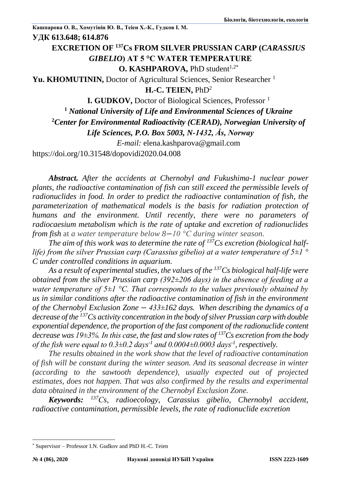# **EXCRETION OF <sup>137</sup>Cs FROM SILVER PRUSSIAN CARP (***CARASSIUS GIBELIO***) AT 5 °C WATER TEMPERATURE**

**O. KASHPAROVA, PhD student<sup>1,2\*</sup>** 

Yu. KHOMUTININ, Doctor of Agricultural Sciences, Senior Researcher<sup>1</sup>

**H.-C. TEIEN,** PhD<sup>2</sup>

**I. GUDKOV,** Doctor of Biological Sciences, Professor <sup>1</sup>

**<sup>1</sup>** *National University of Life and Environmental Sciences of Ukraine*

**<sup>2</sup>***Center for Environmental Radioactivity (CERAD), Norwegian University of* 

*Life Sciences, P.O. Box 5003, N-1432, Ås, Norway*

*E-mail:* [elena.kashparova@gmail.com](mailto:elena.kashparova@gmail.com)

https://doi.org/10.31548/dopovidi2020.04.008

*Abstract. After the accidents at Chernobyl and Fukushima-1 nuclear power plants, the radioactive contamination of fish can still exceed the permissible levels of radionuclides in food. In order to predict the radioactive contamination of fish, the parameterization of mathematical models is the basis for radiation protection of humans and the environment. Until recently, there were no parameters of radiocaesium metabolism which is the rate of uptake and excretion of radionuclides from fish* at *a water temperature below 8*−*10 °С during winter season.*

*The aim of this work was to determine the rate of 137Cs excretion (biological halflife) from the silver Prussian carp (Carassius gibelio) at a water temperature of 5±1 ° C under controlled conditions in aquarium.*

*As a result of experimental studies, the values of the <sup>137</sup>Cs biological half-life were obtained from the silver Prussian carp (392±206 days) in the absence of feeding at a water temperature of 5±1 °C. That corresponds to the values previously obtained by us in similar conditions after the radioactive contamination of fish in the environment of the Chernobyl Exclusion Zone* − *433±162 days. When describing the dynamics of a decrease of the <sup>137</sup>Cs activity concentration in the body of silver Prussian carp with double exponential dependence, the proportion of the fast component of the radionuclide content decrease was 19±3%. In this case, the fast and slow rates of <sup>137</sup>Cs excretion from the body of the fish were equal to 0.3±0.2 days-1 and 0.0004±0.0003 days-1 , respectively.*

*The results obtained in the work show that the level of radioactive contamination of fish will be constant during the winter season. And its seasonal decrease in winter (according to the sawtooth dependence), usually expected out of projected estimates, does not happen. That was also confirmed by the results and experimental data obtained in the environment of the Chernobyl Exclusion Zone.*

*Keywords: <sup>137</sup>Сs, radioecology, Carassius gibelio, Chernobyl accident, radioactive contamination, permissible levels, the rate of radionuclide excretion*

1

<sup>\*</sup> Supervisor – Professor I.N. Gudkov and PhD H.-C. Teien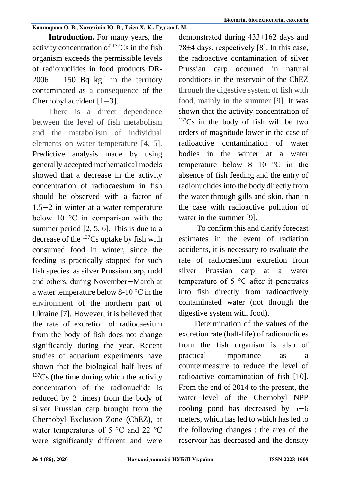**Introduction.** For many years, the activity concentration of  $^{137}Cs$  in the fish organism exceeds the permissible levels of radionuclides in food products DR- $2006 - 150$  Bq kg<sup>-1</sup> in the territory contaminated as a consequence of the Chernobyl accident [1−3].

There is a direct dependence between the level of fish metabolism and the metabolism of individual elements on water temperature [4, 5]. Predictive analysis made by using generally accepted mathematical models showed that a decrease in the activity concentration of radiocaesium in fish should be observed with a factor of 1.5−2 in winter at a water temperature below 10 °C in comparison with the summer period [2, 5, 6]. This is due to a decrease of the <sup>137</sup>Cs uptake by fish with consumed food in winter, since the feeding is practically stopped for such fish species as silver Prussian carp, rudd and others, during November−March at a water temperature below 8-10 °С in the environment of the northern part of Ukraine [7]. However, it is believed that the rate of excretion of radiocaesium from the body of fish does not change significantly during the year. Recent studies of aquarium experiments have shown that the biological half-lives of  $137Cs$  (the time during which the activity concentration of the radionuclide is reduced by 2 times) from the body of silver Prussian carp brought from the Chernobyl Exclusion Zone (ChEZ), at water temperatures of 5 °C and 22 °C were significantly different and were demonstrated during 433±162 days and 78±4 days, respectively [8]. In this case, the radioactive contamination of silver Prussian carp occurred in natural conditions in the reservoir of the ChEZ through the digestive system of fish with food, mainly in the summer [9]. It was shown that the activity concentration of  $137Cs$  in the body of fish will be two orders of magnitude lower in the case of radioactive contamination of water bodies in the winter at a water temperature below 8−10 °C in the absence of fish feeding and the entry of radionuclides into the body directly from the water through gills and skin, than in the case with radioactive pollution of water in the summer [9].

To confirm this and clarify forecast estimates in the event of radiation accidents, it is necessary to evaluate the rate of radiocaesium excretion from silver Prussian carp at a water temperature of 5 °C after it penetrates into fish directly from radioactively contaminated water (not through the digestive system with food).

Determination of the values of the excretion rate (half-life) of radionuclides from the fish organism is also of practical importance as a countermeasure to reduce the level of radioactive contamination of fish [10]. From the end of 2014 to the present, the water level of the Chernobyl NPP cooling pond has decreased by 5−6 meters, which has led to which has led to the following changes : the area of the reservoir has decreased and the density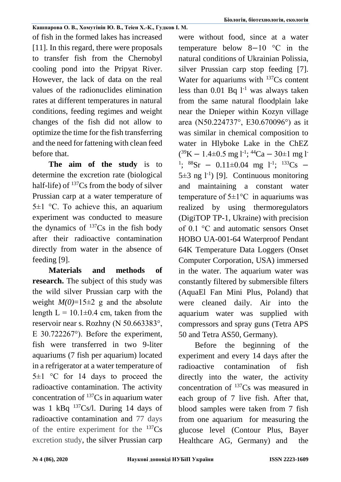of fish in the formed lakes has increased [11]. In this regard, there were proposals to transfer fish from the Chernobyl cooling pond into the Pripyat River. However, the lack of data on the real values of the radionuclides elimination rates at different temperatures in natural conditions, feeding regimes and weight changes of the fish did not allow to optimize the time for the fish transferring and the need for fattening with clean feed before that.

**The aim of the study** is to determine the excretion rate (biological half-life) of  $137Cs$  from the body of silver Prussian carp at a water temperature of  $5\pm1$  °C. To achieve this, an aquarium experiment was conducted to measure the dynamics of  $^{137}Cs$  in the fish body after their radioactive contamination directly from water in the absence of feeding [9].

**Materials and methods of research.** The subject of this study was the wild silver Prussian carp with the weight  $M(0)=15\pm 2$  g and the absolute length  $L = 10.1 \pm 0.4$  cm, taken from the reservoir near s. Rozhny (N 50.663383°, E 30.722267°). Before the experiment, fish were transferred in two 9-liter aquariums (7 fish per aquarium) located in a refrigerator at a water temperature of  $5\pm1$  °C for 14 days to proceed the radioactive contamination. The activity concentration of  $137Cs$  in aquarium water was 1 kBq  $137Cs/l$ . During 14 days of radioactive contamination and 77 days of the entire experiment for the  $137Cs$ excretion study, the silver Prussian carp were without food, since at a water temperature below 8−10 °C in the natural conditions of Ukrainian Polissia, silver Prussian carp stop feeding [7]. Water for aquariums with  $137Cs$  content less than  $0.01$  Bq  $1^{-1}$  was always taken from the same natural floodplain lake near the Dnieper within Kozyn village area (N50.224737°, E30.670096°) as it was similar in chemical composition to water in Hlyboke Lake in the ChEZ  $(^{39}K - 1.4 \pm 0.5$  mg l<sup>-1</sup>; <sup>44</sup>Ca – 30±1 mg l<sup>-1</sup> <sup>1</sup>; <sup>88</sup>Sr – 0.11±0.04 mg 1<sup>-1</sup>; <sup>133</sup>Cs – 5 $\pm$ 3 ng l<sup>-1</sup>) [9]. Continuous monitoring and maintaining a constant water temperature of  $5\pm1\degree C$  in aquariums was realized by using thermoregulators (DigiTOP ТР-1, Ukraine) with precision of 0.1 °С and automatic sensors Onset HOBO UA-001-64 Waterproof Pendant 64K Temperature Data Loggers (Onset Computer Corporation, USA) immersed in the water. The aquarium water was constantly filtered by submersible filters (AquaEl Fan Mini Plus, Poland) that were cleaned daily. Air into the aquarium water was supplied with compressors and spray guns (Tetra APS 50 and Tetra AS50, Germany).

Before the beginning of the experiment and every 14 days after the radioactive contamination of fish directly into the water, the activity concentration of <sup>137</sup>Cs was measured in each group of 7 live fish. After that, blood samples were taken from 7 fish from one aquarium for measuring the glucose level (Contour Plus, Bayer Healthcare AG, Germany) and the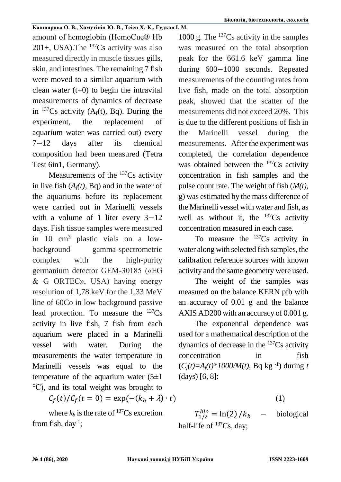amount of hemoglobin (HemoCue® Hb 201+, USA). The  $^{137}Cs$  activity was also measured directly in muscle tissues gills, skin, and intestines. The remaining 7 fish were moved to a similar aquarium with clean water  $(t=0)$  to begin the intravital measurements of dynamics of decrease in  $^{137}Cs$  activity (A<sub>f</sub>(t), Bq). During the experiment, the replacement of aquarium water was carried out) every 7−12 days after its chemical composition had been measured (Tetra Test 6in1, Germany).

Measurements of the  $137Cs$  activity in live fish  $(A<sub>f</sub>(t), B<sub>q</sub>)$  and in the water of the aquariums before its replacement were carried out in Marinelli vessels with a volume of 1 liter every 3–12 days. Fish tissue samples were measured in 10 cm<sup>3</sup> plastic vials on a lowbackground gamma-spectrometric complex with the high-purity germanium detector GEM-30185 («EG & G ORTEC», USA) having energy resolution of 1,78 keV for the 1,33 MeV line of 60Co in low-background passive lead protection. To measure the  $137Cs$ activity in live fish, 7 fish from each aquarium were placed in a Marinelli vessel with water. During the measurements the water temperature in Marinelli vessels was equal to the temperature of the aquarium water  $(5\pm 1)$ °C), and its total weight was brought to

 $C_f(t)/C_f(t = 0) = \exp(-(k_b + \lambda) \cdot t)$  (1)

where  $k_b$  is the rate of <sup>137</sup>Cs excretion from fish,  $day^{-1}$ ;

1000 g. The  $^{137}Cs$  activity in the samples was measured on the total absorption peak for the 661.6 keV gamma line during 600−1000 seconds. Repeated measurements of the counting rates from live fish, made on the total absorption peak, showed that the scatter of the measurements did not exceed 20%. This is due to the different positions of fish in the Marinelli vessel during the measurements. After the experiment was completed, the correlation dependence was obtained between the <sup>137</sup>Cs activity concentration in fish samples and the pulse count rate. The weight of fish (*M(t),* g) was estimated by the mass difference of the Marinelli vessel with water and fish, as well as without it, the  $137Cs$  activity concentration measured in each case.

To measure the  $^{137}Cs$  activity in water along with selected fish samples, the calibration reference sources with known activity and the same geometry were used.

The weight of the samples was measured on the balance KERN pfb with an accuracy of 0.01 g and the balance AXIS AD200 with an accuracy of 0.001 g.

The exponential dependence was used for a mathematical description of the dynamics of decrease in the  $137Cs$  activity concentration in fish  $(C_f(t)=A_f(t)*1000/M(t)$ , Bq kg<sup>-1</sup>) during *t* (days) [6, 8]:

 $T_{1/2}^{bio} = \ln(2) / k_b$  – biological half-life of <sup>137</sup>Cs, day;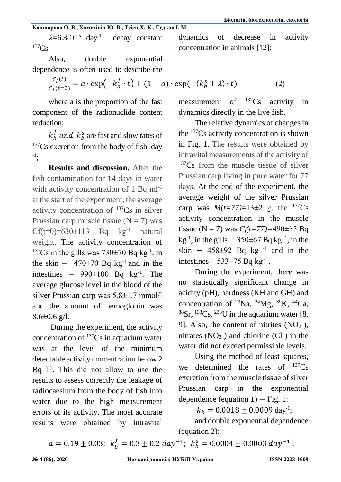$\lambda$ =6.3·10<sup>-5</sup> day<sup>-1</sup>− decay constant  $137Cs$ .

Also, double exponential dependence is often used to describe the

$$
\frac{c_f(t)}{c_f(t=0)} = a \cdot \exp\left(-k_b^f \cdot t\right) + (1-a) \cdot \exp\left(-(k_b^s + \lambda\right) \cdot t\right) \tag{2}
$$

where a is the proportion of the fast component of the radionuclide content reduction;

 $k_b^f$  and  $k_b^s$  are fast and slow rates of <sup>137</sup>Cs excretion from the body of fish, day -1 ;

**Results and discussion.** After the fish contamination for 14 days in water with activity concentration of 1 Bq ml<sup>-1</sup> at the start of the experiment, the average activity concentration of  $137Cs$  in silver Prussian carp muscle tissue  $(N = 7)$  was  $Cf(t=0)=630\pm113$  Bq kg<sup>-1</sup> natural weight. The activity concentration of <sup>137</sup>Cs in the gills was  $730\pm70$  Bq kg<sup>-1</sup>, in the skin  $-$  470±70 Bq kg<sup>-1</sup> and in the intestines  $-990\pm100$  Bq kg<sup>-1</sup>. The average glucose level in the blood of the silver Prussian carp was 5.8±1.7 mmol/l and the amount of hemoglobin was  $8.6 \pm 0.6$  g/l.

During the experiment, the activity concentration of <sup>137</sup>Cs in aquarium water was at the level of the minimum detectable activity concentration below 2 Bq  $1^{-1}$ . This did not allow to use the results to assess correctly the leakage of radiocaesium from the body of fish into water due to the high measurement errors of its activity. The most accurate results were obtained by intravital

measurement of  $^{137}Cs$  activity in dynamics directly in the live fish.

dynamics of decrease in activity

concentration in animals [12]:

The relative dynamics of changes in the <sup>137</sup>Cs activity concentration is shown in Fig. 1. The results were obtained by intravital measurements of the activity of <sup>137</sup>Cs from the muscle tissue of silver Prussian carp living in pure water for 77 days. At the end of the experiment, the average weight of the silver Prussian carp was  $M(t=77)=13\pm 2$  g, the <sup>137</sup>Cs activity concentration in the muscle tissue (N = 7) was  $C_f(t=77)=490\pm85$  Bq  $kg^{-1}$ , in the gills  $-350\pm67$  Bq kg<sup>-1</sup>, in the skin –  $458 \pm 92$  Bq kg<sup>-1</sup> and in the intestines  $-533\pm75$  Bq kg<sup>-1</sup>.

During the experiment, there was no statistically significant change in acidity (pH), hardness (KH and GH) and concentration of  $^{23}Na$ ,  $^{24}Mg$ ,  $^{39}K$ ,  $^{44}Ca$ ,  $88Sr, 133Cs, 238U$  in the aquarium water [8, 9]. Also, the content of nitrites  $(NO<sub>2</sub><sup>-</sup>)$ , nitrates  $(NO<sub>3</sub><sup>-</sup>)$  and chlorine  $(Cl<sup>2</sup>)$  in the water did not exceed permissible levels.

Using the method of least squares, we determined the rates of  $137Cs$ excretion from the muscle tissue of silver Prussian carp in the exponential dependence (equation  $1$ ) – Fig. 1:

 $k_b = 0.0018 \pm 0.0009 \text{ day}^{-1}$ ;

and double exponential dependence (equation 2):

 $a = 0.19 \pm 0.03$ ;  $k_b^f = 0.3 \pm 0.2 \ day^{-1}$ ;  $k_b^s = 0.0004 \pm 0.0003 \ day^{-1}$ .

**№ 4 (86), 2020 Наукові доповіді НУБіП України ISSN 2223-1609**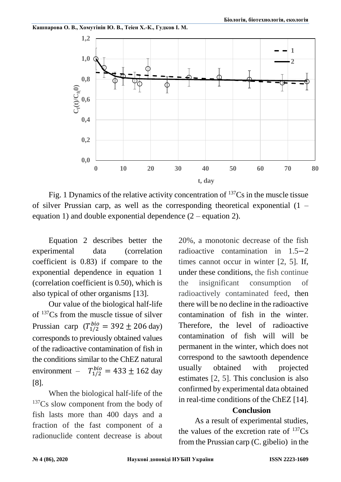



Fig. 1 Dynamics of the relative activity concentration of <sup>137</sup>Cs in the muscle tissue of silver Prussian carp, as well as the corresponding theoretical exponential (1 – equation 1) and double exponential dependence (2 – equation 2).

Equation 2 describes better the experimental data (correlation coefficient is 0.83) if compare to the exponential dependence in equation 1 (correlation coefficient is 0.50), which is also typical of other organisms [13].

Our value of the biological half-life of <sup>137</sup>Cs from the muscle tissue of silver Prussian carp  $(T_{1/2}^{bio} = 392 \pm 206 \text{ day})$ corresponds to previously obtained values of the radioactive contamination of fish in the conditions similar to the ChEZ natural environment –  $T_{1/2}^{bio} = 433 \pm 162$  day [8].

When the biological half-life of the <sup>137</sup>Cs slow component from the body of fish lasts more than 400 days and a fraction of the fast component of a radionuclide content decrease is about 20%, a monotonic decrease of the fish radioactive contamination in 1.5−2 times cannot occur in winter [2, 5]. If, under these conditions, the fish continue the insignificant consumption of radioactively contaminated feed, then there will be no decline in the radioactive contamination of fish in the winter. Therefore, the level of radioactive contamination of fish will will be permanent in the winter, which does not correspond to the sawtooth dependence usually obtained with projected estimates [2, 5]. This conclusion is also confirmed by experimental data obtained in real-time conditions of the ChEZ [14].

## **Conclusion**

As a result of experimental studies, the values of the excretion rate of  $137Cs$ from the Prussian carp (C. gibelio) in the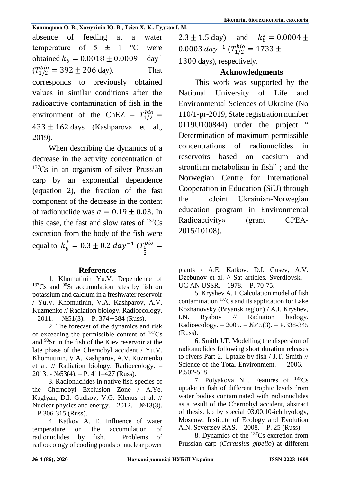absence of feeding at a water temperature of  $5 \pm 1$  °C were obtained  $k_b = 0.0018 \pm 0.0009$  day<sup>-1</sup>  $(T_{1/2}^{bio} = 392 \pm 206 \text{ day}).$  That corresponds to previously obtained values in similar conditions after the radioactive contamination of fish in the environment of the ChEZ –  $T_{1/2}^{bio}$  =  $433 \pm 162$  days (Kashparova et al., 2019).

When describing the dynamics of a decrease in the activity concentration of <sup>137</sup>Cs in an organism of silver Prussian carp by an exponential dependence (equation 2), the fraction of the fast component of the decrease in the content of radionuclide was  $a = 0.19 + 0.03$ . In this case, the fast and slow rates of  $137Cs$ excretion from the body of the fish were equal to  $k_b^f = 0.3 \pm 0.2 \ day^{-1} (T_1)$ 2  $_1^{bio} =$ 

## **References**

1. Khomutinin Yu.V. Dependence of  $137Cs$  and  $90Sr$  accumulation rates by fish on potassium and calcium in a freshwater reservoir / Yu.V. Khomutinin, V.A. Kashparov, A.V. Kuzmenko // Radiation biology. Radioecology.  $-2011. -$  №51(3). – P. 374–384 (Russ).

2. The forecast of the dynamics and risk of exceeding the permissible content of  $^{137}Cs$ and <sup>90</sup>Sr in the fish of the Kiev reservoir at the late phase of the Chernobyl accident / Yu.V. Khomutinin, V.A. Kashparov, A.V. Kuzmenko et al. // Radiation biology. Radioecology. – 2013. - №53(4). – P. 411–427 (Russ).

3. Radionuclides in native fish species of the Chernobyl Exclusion Zone / A.Ye. Kaglyan, D.I. Gudkov, V.G. Klenus et al. // Nuclear physics and energy.  $-2012. - N_213(3)$ .  $-$  P.306-315 (Russ).

4. Katkov A. E. Influence of water temperature on the accumulation of radionuclides by fish. Problems of radioecology of cooling ponds of nuclear power  $2.3 \pm 1.5$  day) and  $k_h^s = 0.0004 \pm 1$  $0.0003 \ day^{-1} (T_{1/2}^{bio} = 1733 \pm 1)$ 1300 days), respectively.

# **Acknowledgments**

This work was supported by the National University of Life and Environmental Sciences of Ukraine (No 110/1-pr-2019, State registration number 0119U100844) under the project " Determination of maximum permissible concentrations of radionuclides in reservoirs based on caesium and strontium metabolism in fish" ; and the Norwegian Centre for International Cooperation in Education (SiU) through the «Joint Ukrainian-Norwegian education program in Environmental Radioactivity» (grant CPEA-2015/10108).

plants / A.E. Katkov, D.I. Gusev, A.V. Dzebunov et al. // Sat articles. Sverdlovsk. – UC AN USSR. – 1978. – P. 70-75.

5. Kryshev A. I. Calculation model of fish contamination  $137Cs$  and its application for Lake Kozhanovsky (Bryansk region) / A.I. Kryshev, I.N. Ryabov // Radiation biology. Radioecology. – 2005. –  $N_2$ 45(3). – P.338-345 (Russ).

6. Smith J.T. Modelling the dispersion of radionuclides following short duration releases to rivers Part 2. Uptake by fish / J.T. Smith // Science of the Total Environment. – 2006. – P.502-518.

7. Polyakova N.I. Features of  $137Cs$ uptake in fish of different trophic levels from water bodies contaminated with radionuclides as a result of the Chernobyl accident, abstract of thesis. kb by special 03.00.10-ichthyology, Moscow: Institute of Ecology and Evolution A.N. Severtsev RAS. – 2008. – P. 25 (Russ).

8. Dynamics of the  $137Cs$  excretion from Prussian carp (*Carassius gibelio*) at different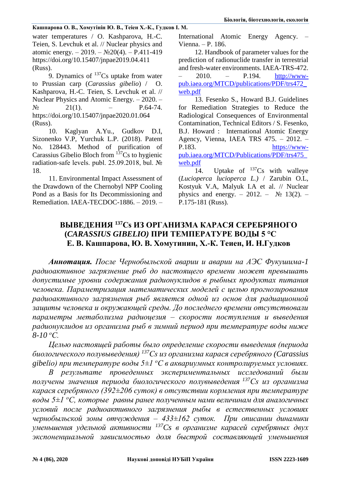water temperatures / O. Kashparova, H.-C. Teien, S. Levchuk et al. // Nuclear physics and atomic energy. – 2019. –  $N<sub>2</sub>20(4)$ . – P.411-419 https://doi.org/10.15407/jnpae2019.04.411 (Russ).

9. Dynamics of  $137Cs$  uptake from water to Prussian carp (*Carassius gibelio*) / O. Kashparova, H.-C. Teien, S. Levchuk et al. // Nuclear Physics and Atomic Energy. – 2020. –  $N_2$  21(1). – P.64-74. https://doi.org/10.15407/jnpae2020.01.064 (Russ).

10. Kaglyan A.Yu., Gudkov D.I, Sizonenko V.P, Yurchuk L.P. (2018). Patent No. 128443. Method of purification of Carassius Gibelio Bloch from <sup>137</sup>Cs to hygienic radiation-safe levels. publ. 25.09.2018, bul. № 18.

11. Environmental Impact Assessment of the Drawdown of the Chernobyl NPP Cooling Pond as a Basis for Its Decommissioning and Remediation. IAEA-TECDOC-1886. – 2019. – International Atomic Energy Agency. – Vienna. – P. 186.

12. Handbook of parameter values for the prediction of radionuclide transfer in terrestrial and fresh-water environments. IAEA-TRS-472. – 2010. – P.194. [http://www](http://www-pub.iaea.org/MTCD/publications/PDF/trs472_web.pdf)[pub.iaea.org/MTCD/publications/PDF/trs472\\_](http://www-pub.iaea.org/MTCD/publications/PDF/trs472_web.pdf) [web.pdf](http://www-pub.iaea.org/MTCD/publications/PDF/trs472_web.pdf)

13. Fesenko S., Howard B.J. Guidelines for Remediation Strategies to Reduce the Radiological Consequences of Environmental Contamination, Technical Editors / S. Fesenko, B.J. Howard : International Atomic Energy Agency, Vienna, IAEA TRS 475. – 2012. – P.183. [https://www](https://www-pub.iaea.org/MTCD/Publications/PDF/trs475_web.pdf)[pub.iaea.org/MTCD/Publications/PDF/trs475\\_](https://www-pub.iaea.org/MTCD/Publications/PDF/trs475_web.pdf) [web.pdf](https://www-pub.iaea.org/MTCD/Publications/PDF/trs475_web.pdf)

14. Uptake of  $^{137}Cs$  with walleye (*Lucioperca lucioperca L.)* / Zarubin O.L, Kostyuk V.A, Malyuk I.A et al. // Nuclear physics and energy. – 2012. –  $\mathbb{N}^{\circ}$  13(2). – P.175-181 (Russ).

# **ВЫВЕДЕНИЯ <sup>137</sup>Cs ИЗ ОРГАНИЗМА КАРАСЯ СЕРЕБРЯНОГО (***CARASSIUS GIBELIO)* **ПРИ ТЕМПЕРАТУРЕ ВОДЫ 5 °С Е. В. Кашпарова, Ю. В. Хомутинин, Х.-К. Теиен, И. Н.Гудков**

*Аннотация. После Чернобыльской аварии и аварии на АЭС Фукушима-1 радиоактивное загрязнение рыб до настоящего времени может превышать допустимые уровни содержания радионуклидов в рыбных продуктах питания человека. Параметризация математических моделей с целью прогнозирования радиоактивного загрязнения рыб является одной из основ для радиационной защиты человека и окружающей среды. До последнего времени отсутствовали параметры метаболизма радиоцезия – скорости поступления и выведения радионуклидов из организма рыб в зимний период при температуре воды ниже 8-10 <sup>о</sup>С.* 

*Целью настоящей работы было определение скорости выведения (периода биологического полувыведения) <sup>137</sup>Cs из организма карася серебряного (Carassius gibelio) при температуре воды 5±1 <sup>о</sup>С в аквариумных контролируемых условиях.*

*В результате проведенных экспериментальных исследований были получены значения периода биологического полувыведения <sup>137</sup>Cs из организма карася серебряного (392±206 суток) в отсутствии кормления при температуре воды 5±1 <sup>о</sup>С, которые равны ранее полученным нами величинам для аналогичных условий после радиоактивного загрязнения рыбы в естественных условиях чернобыльской зоны отчуждения* – *433±162 суток. При описании динамики уменьшения удельной активности <sup>137</sup>Cs в организме карасей серебряных двух экспоненциальной зависимостью доля быстрой составляющей уменьшения*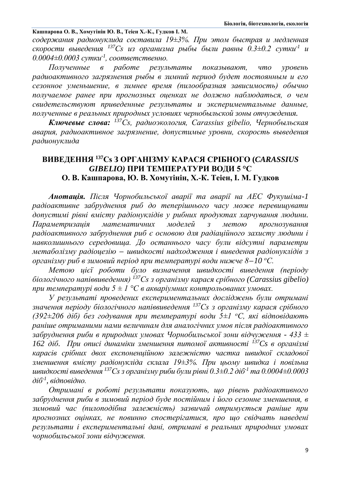**Кашпарова О. В., Хомутінін Ю. В., Теіен Х.-К., Гудков І. М.** *содержания радионуклида составила 19±3%. При этом быстрая и медленная скорости выведения <sup>137</sup>Cs из организма рыбы были равны 0.3±0.2 сутки-1 и 0.0004±0.0003 сутки-1 , соответственно.*

*Полученные в работе результаты показывают, что уровень радиоактивного загрязнения рыбы в зимний период будет постоянным и его сезонное уменьшение, в зимнее время (пилообразная зависимость) обычно получаемое ранее при прогнозных оценках не должно наблюдаться, о чем свидетельствуют приведенные результаты и экспериментальные данные, полученные в реальных природных условиях чернобыльской зоны отчуждения.*

*Ключевые слова: <sup>137</sup>Сs, радиоэкология, Carassius gibelio, Чернобыльская авария, радиоактивное загрязнение, допустимые уровни, скорость выведения радионуклида*

# **ВИВЕДЕННЯ <sup>137</sup>Cs З ОРГАНІЗМУ КАРАСЯ СРІБНОГО (***CARASSIUS GIBELIO)* **ПРИ ТЕМПЕРАТУРИ ВОДИ 5 °С О. В. Кашпарова, Ю. В. Хомутінін, Х.-К. Теіен, І. М. Гудков**

*Анотація. Після Чорнобильської аварії та аварії на АЕС Фукушіма-1 радіоактивне забруднення риб до теперішнього часу може перевищувати допустимі рівні вмісту радіонуклідів у рибних продуктах харчування людини. Параметризація математичних моделей з метою прогнозування радіоактивного забруднення риб є основою для радіаційного захисту людини і навколишнього середовища. До останнього часу були відсутні параметри метаболізму радіоцезію* − *швидкості надходження і виведення радіонуклідів з організму риб в зимовий період при температурі води нижче 8*−*10 <sup>о</sup>С.* 

*Метою цієї роботи було визначення швидкості виведення (періоду біологічного напіввиведення) <sup>137</sup>Cs з організму карася срібного (Carassius gibelio) при температурі води 5 ± 1 °С в акваріумних контрольованих умовах.*

*У результаті проведених експериментальних досліджень були отримані значення періоду біологічного напіввиведення <sup>137</sup>Cs з організму карася срібного (392±206 діб) без годування при температурі води 5±1 <sup>о</sup>С, які відповідають раніше отриманими нами величинам для аналогічних умов після радіоактивного забруднення риби в природних умовах Чорнобильської зони відчуження - 433 ± 162 діб. При описі динаміки зменшення питомої активності <sup>137</sup>Cs в організмі карасів срібних двох експоненційною залежністю частка швидкої складової зменшення вмісту радіонукліда склала 19±3%. При цьому швидка і повільна швидкості виведення <sup>137</sup>Cs з організму риби були рівні 0.3±0.2 діб-1 та 0.0004±0.0003 діб-1 , відповідно.*

*Отримані в роботі результати показують, що рівень радіоактивного забруднення риби в зимовий період буде постійним і його сезонне зменшення, в зимовий час (пилоподібна залежність) зазвичай отримується раніше при прогнозних оцінках, не повинно спостерігатися, про що свідчать наведені результати і експериментальні дані, отримані в реальних природних умовах чорнобильської зони відчуження.*